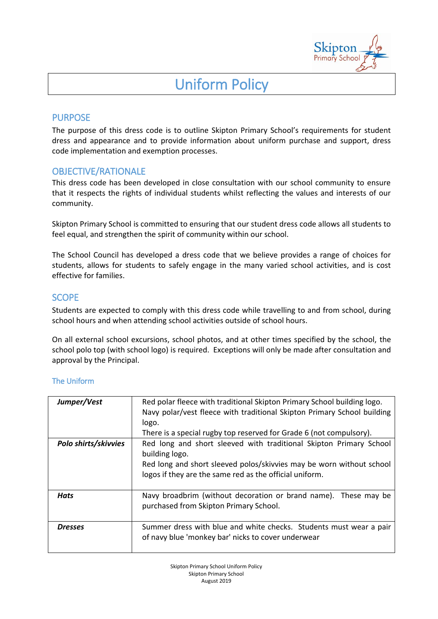

# Uniform Policy

# PURPOSE

The purpose of this dress code is to outline Skipton Primary School's requirements for student dress and appearance and to provide information about uniform purchase and support, dress code implementation and exemption processes.

## OBJECTIVE/RATIONALE

This dress code has been developed in close consultation with our school community to ensure that it respects the rights of individual students whilst reflecting the values and interests of our community.

Skipton Primary School is committed to ensuring that our student dress code allows all students to feel equal, and strengthen the spirit of community within our school.

The School Council has developed a dress code that we believe provides a range of choices for students, allows for students to safely engage in the many varied school activities, and is cost effective for families.

## **SCOPE**

Students are expected to comply with this dress code while travelling to and from school, during school hours and when attending school activities outside of school hours.

On all external school excursions, school photos, and at other times specified by the school, the school polo top (with school logo) is required. Exceptions will only be made after consultation and approval by the Principal.

### The Uniform

| Jumper/Vest          | Red polar fleece with traditional Skipton Primary School building logo.<br>Navy polar/vest fleece with traditional Skipton Primary School building<br>logo.<br>There is a special rugby top reserved for Grade 6 (not compulsory). |
|----------------------|------------------------------------------------------------------------------------------------------------------------------------------------------------------------------------------------------------------------------------|
| Polo shirts/skivvies | Red long and short sleeved with traditional Skipton Primary School<br>building logo.<br>Red long and short sleeved polos/skivvies may be worn without school<br>logos if they are the same red as the official uniform.            |
| Hats                 | Navy broadbrim (without decoration or brand name). These may be<br>purchased from Skipton Primary School.                                                                                                                          |
| <b>Dresses</b>       | Summer dress with blue and white checks. Students must wear a pair<br>of navy blue 'monkey bar' nicks to cover underwear                                                                                                           |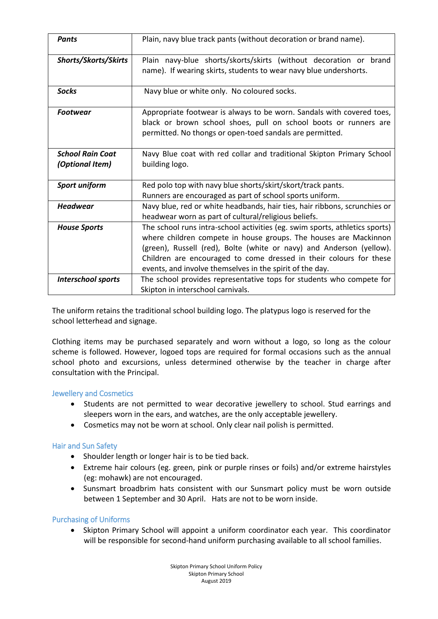| <b>Pants</b>                               | Plain, navy blue track pants (without decoration or brand name).                                                                                                                                                                                                                                                                                          |
|--------------------------------------------|-----------------------------------------------------------------------------------------------------------------------------------------------------------------------------------------------------------------------------------------------------------------------------------------------------------------------------------------------------------|
| Shorts/Skorts/Skirts                       | Plain navy-blue shorts/skorts/skirts (without decoration or brand<br>name). If wearing skirts, students to wear navy blue undershorts.                                                                                                                                                                                                                    |
| <b>Socks</b>                               | Navy blue or white only. No coloured socks.                                                                                                                                                                                                                                                                                                               |
| <b>Footwear</b>                            | Appropriate footwear is always to be worn. Sandals with covered toes,<br>black or brown school shoes, pull on school boots or runners are<br>permitted. No thongs or open-toed sandals are permitted.                                                                                                                                                     |
| <b>School Rain Coat</b><br>(Optional Item) | Navy Blue coat with red collar and traditional Skipton Primary School<br>building logo.                                                                                                                                                                                                                                                                   |
| Sport uniform                              | Red polo top with navy blue shorts/skirt/skort/track pants.<br>Runners are encouraged as part of school sports uniform.                                                                                                                                                                                                                                   |
| <b>Headwear</b>                            | Navy blue, red or white headbands, hair ties, hair ribbons, scrunchies or<br>headwear worn as part of cultural/religious beliefs.                                                                                                                                                                                                                         |
| <b>House Sports</b>                        | The school runs intra-school activities (eg. swim sports, athletics sports)<br>where children compete in house groups. The houses are Mackinnon<br>(green), Russell (red), Bolte (white or navy) and Anderson (yellow).<br>Children are encouraged to come dressed in their colours for these<br>events, and involve themselves in the spirit of the day. |
| <b>Interschool sports</b>                  | The school provides representative tops for students who compete for<br>Skipton in interschool carnivals.                                                                                                                                                                                                                                                 |

The uniform retains the traditional school building logo. The platypus logo is reserved for the school letterhead and signage.

Clothing items may be purchased separately and worn without a logo, so long as the colour scheme is followed. However, logoed tops are required for formal occasions such as the annual school photo and excursions, unless determined otherwise by the teacher in charge after consultation with the Principal.

#### Jewellery and Cosmetics

- Students are not permitted to wear decorative jewellery to school. Stud earrings and sleepers worn in the ears, and watches, are the only acceptable jewellery.
- Cosmetics may not be worn at school. Only clear nail polish is permitted.

#### Hair and Sun Safety

- Shoulder length or longer hair is to be tied back.
- Extreme hair colours (eg. green, pink or purple rinses or foils) and/or extreme hairstyles (eg: mohawk) are not encouraged.
- Sunsmart broadbrim hats consistent with our Sunsmart policy must be worn outside between 1 September and 30 April. Hats are not to be worn inside.

#### Purchasing of Uniforms

• Skipton Primary School will appoint a uniform coordinator each year. This coordinator will be responsible for second-hand uniform purchasing available to all school families.